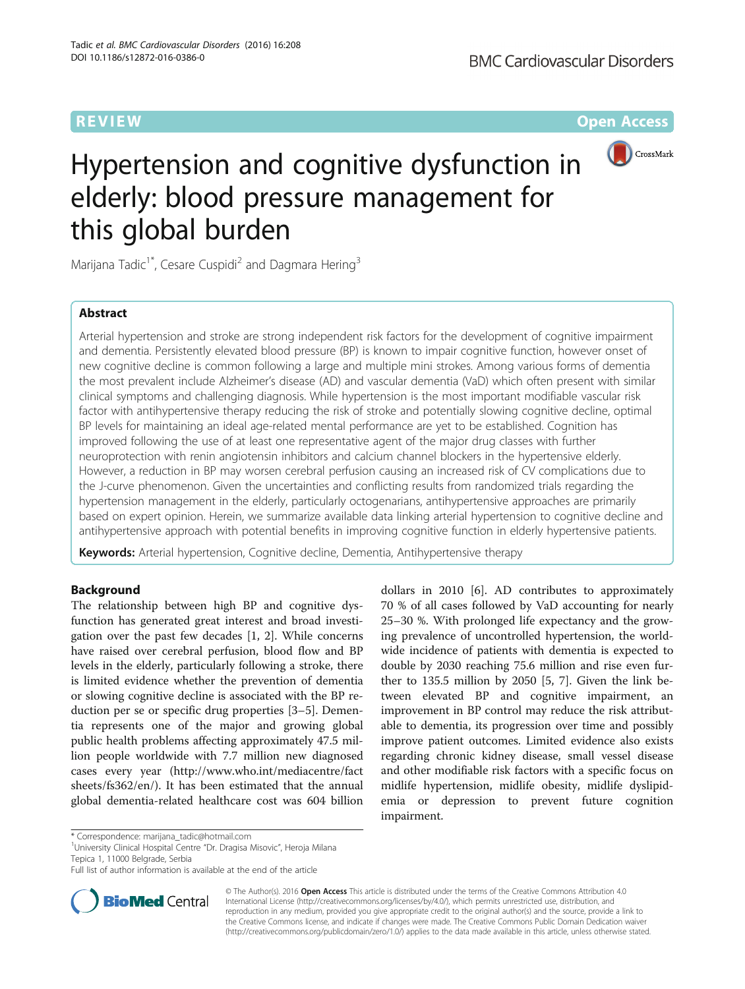**REVIEW CONTROL** CONTROL CONTROL CONTROL CONTROL CONTROL CONTROL CONTROL CONTROL CONTROL CONTROL CONTROL CONTROL CONTROL CONTROL CONTROL CONTROL CONTROL CONTROL CONTROL CONTROL CONTROL CONTROL CONTROL CONTROL CONTROL CONTR



# Hypertension and cognitive dysfunction in elderly: blood pressure management for this global burden

Marijana Tadic<sup>1\*</sup>, Cesare Cuspidi<sup>2</sup> and Dagmara Hering<sup>3</sup>

# Abstract

Arterial hypertension and stroke are strong independent risk factors for the development of cognitive impairment and dementia. Persistently elevated blood pressure (BP) is known to impair cognitive function, however onset of new cognitive decline is common following a large and multiple mini strokes. Among various forms of dementia the most prevalent include Alzheimer's disease (AD) and vascular dementia (VaD) which often present with similar clinical symptoms and challenging diagnosis. While hypertension is the most important modifiable vascular risk factor with antihypertensive therapy reducing the risk of stroke and potentially slowing cognitive decline, optimal BP levels for maintaining an ideal age-related mental performance are yet to be established. Cognition has improved following the use of at least one representative agent of the major drug classes with further neuroprotection with renin angiotensin inhibitors and calcium channel blockers in the hypertensive elderly. However, a reduction in BP may worsen cerebral perfusion causing an increased risk of CV complications due to the J-curve phenomenon. Given the uncertainties and conflicting results from randomized trials regarding the hypertension management in the elderly, particularly octogenarians, antihypertensive approaches are primarily based on expert opinion. Herein, we summarize available data linking arterial hypertension to cognitive decline and antihypertensive approach with potential benefits in improving cognitive function in elderly hypertensive patients.

Keywords: Arterial hypertension, Cognitive decline, Dementia, Antihypertensive therapy

# Background

The relationship between high BP and cognitive dysfunction has generated great interest and broad investigation over the past few decades [[1, 2](#page-6-0)]. While concerns have raised over cerebral perfusion, blood flow and BP levels in the elderly, particularly following a stroke, there is limited evidence whether the prevention of dementia or slowing cognitive decline is associated with the BP reduction per se or specific drug properties [\[3](#page-6-0)–[5](#page-6-0)]. Dementia represents one of the major and growing global public health problems affecting approximately 47.5 million people worldwide with 7.7 million new diagnosed cases every year ([http://www.who.int/mediacentre/fact](http://www.who.int/mediacentre/factsheets/fs362/en/) [sheets/fs362/en/\)](http://www.who.int/mediacentre/factsheets/fs362/en/). It has been estimated that the annual global dementia-related healthcare cost was 604 billion

dollars in 2010 [\[6](#page-6-0)]. AD contributes to approximately 70 % of all cases followed by VaD accounting for nearly 25–30 %. With prolonged life expectancy and the growing prevalence of uncontrolled hypertension, the worldwide incidence of patients with dementia is expected to double by 2030 reaching 75.6 million and rise even further to 135.5 million by 2050 [\[5](#page-6-0), [7](#page-6-0)]. Given the link between elevated BP and cognitive impairment, an improvement in BP control may reduce the risk attributable to dementia, its progression over time and possibly improve patient outcomes. Limited evidence also exists regarding chronic kidney disease, small vessel disease and other modifiable risk factors with a specific focus on midlife hypertension, midlife obesity, midlife dyslipidemia or depression to prevent future cognition impairment.

<sup>1</sup>University Clinical Hospital Centre "Dr. Dragisa Misovic", Heroja Milana Tepica 1, 11000 Belgrade, Serbia

Full list of author information is available at the end of the article



© The Author(s). 2016 Open Access This article is distributed under the terms of the Creative Commons Attribution 4.0 International License [\(http://creativecommons.org/licenses/by/4.0/](http://creativecommons.org/licenses/by/4.0/)), which permits unrestricted use, distribution, and reproduction in any medium, provided you give appropriate credit to the original author(s) and the source, provide a link to the Creative Commons license, and indicate if changes were made. The Creative Commons Public Domain Dedication waiver [\(http://creativecommons.org/publicdomain/zero/1.0/](http://creativecommons.org/publicdomain/zero/1.0/)) applies to the data made available in this article, unless otherwise stated.

<sup>\*</sup> Correspondence: [marijana\\_tadic@hotmail.com](mailto:marijana_tadic@hotmail.com) <sup>1</sup>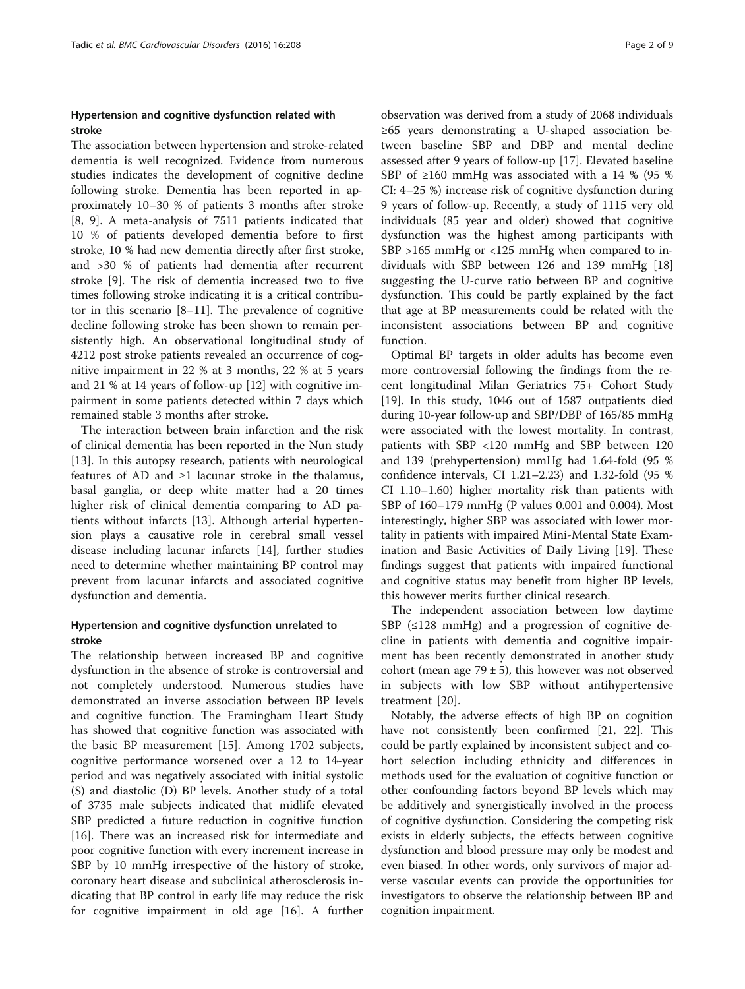# Hypertension and cognitive dysfunction related with stroke

The association between hypertension and stroke-related dementia is well recognized. Evidence from numerous studies indicates the development of cognitive decline following stroke. Dementia has been reported in approximately 10–30 % of patients 3 months after stroke [[8, 9\]](#page-6-0). A meta-analysis of 7511 patients indicated that 10 % of patients developed dementia before to first stroke, 10 % had new dementia directly after first stroke, and >30 % of patients had dementia after recurrent stroke [[9\]](#page-6-0). The risk of dementia increased two to five times following stroke indicating it is a critical contributor in this scenario [\[8](#page-6-0)–[11\]](#page-6-0). The prevalence of cognitive decline following stroke has been shown to remain persistently high. An observational longitudinal study of 4212 post stroke patients revealed an occurrence of cognitive impairment in 22 % at 3 months, 22 % at 5 years and 21 % at 14 years of follow-up [[12\]](#page-6-0) with cognitive impairment in some patients detected within 7 days which remained stable 3 months after stroke.

The interaction between brain infarction and the risk of clinical dementia has been reported in the Nun study [[13\]](#page-6-0). In this autopsy research, patients with neurological features of AD and  $\geq 1$  lacunar stroke in the thalamus, basal ganglia, or deep white matter had a 20 times higher risk of clinical dementia comparing to AD patients without infarcts [\[13](#page-6-0)]. Although arterial hypertension plays a causative role in cerebral small vessel disease including lacunar infarcts [\[14](#page-6-0)], further studies need to determine whether maintaining BP control may prevent from lacunar infarcts and associated cognitive dysfunction and dementia.

# Hypertension and cognitive dysfunction unrelated to stroke

The relationship between increased BP and cognitive dysfunction in the absence of stroke is controversial and not completely understood. Numerous studies have demonstrated an inverse association between BP levels and cognitive function. The Framingham Heart Study has showed that cognitive function was associated with the basic BP measurement [\[15](#page-6-0)]. Among 1702 subjects, cognitive performance worsened over a 12 to 14-year period and was negatively associated with initial systolic (S) and diastolic (D) BP levels. Another study of a total of 3735 male subjects indicated that midlife elevated SBP predicted a future reduction in cognitive function [[16\]](#page-6-0). There was an increased risk for intermediate and poor cognitive function with every increment increase in SBP by 10 mmHg irrespective of the history of stroke, coronary heart disease and subclinical atherosclerosis indicating that BP control in early life may reduce the risk for cognitive impairment in old age [[16](#page-6-0)]. A further

observation was derived from a study of 2068 individuals ≥65 years demonstrating a U-shaped association between baseline SBP and DBP and mental decline assessed after 9 years of follow-up [[17](#page-6-0)]. Elevated baseline SBP of  $\geq$ 160 mmHg was associated with a 14 % (95 % CI: 4–25 %) increase risk of cognitive dysfunction during 9 years of follow-up. Recently, a study of 1115 very old individuals (85 year and older) showed that cognitive dysfunction was the highest among participants with SBP >165 mmHg or <125 mmHg when compared to individuals with SBP between 126 and 139 mmHg [[18](#page-6-0)] suggesting the U-curve ratio between BP and cognitive dysfunction. This could be partly explained by the fact that age at BP measurements could be related with the inconsistent associations between BP and cognitive function.

Optimal BP targets in older adults has become even more controversial following the findings from the recent longitudinal Milan Geriatrics 75+ Cohort Study [[19\]](#page-6-0). In this study, 1046 out of 1587 outpatients died during 10-year follow-up and SBP/DBP of 165/85 mmHg were associated with the lowest mortality. In contrast, patients with SBP <120 mmHg and SBP between 120 and 139 (prehypertension) mmHg had 1.64-fold (95 % confidence intervals, CI 1.21–2.23) and 1.32-fold (95 % CI 1.10–1.60) higher mortality risk than patients with SBP of 160–179 mmHg (P values 0.001 and 0.004). Most interestingly, higher SBP was associated with lower mortality in patients with impaired Mini-Mental State Examination and Basic Activities of Daily Living [[19\]](#page-6-0). These findings suggest that patients with impaired functional and cognitive status may benefit from higher BP levels, this however merits further clinical research.

The independent association between low daytime SBP  $(\leq 128$  mmHg) and a progression of cognitive decline in patients with dementia and cognitive impairment has been recently demonstrated in another study cohort (mean age  $79 \pm 5$ ), this however was not observed in subjects with low SBP without antihypertensive treatment [[20\]](#page-6-0).

Notably, the adverse effects of high BP on cognition have not consistently been confirmed [[21, 22\]](#page-6-0). This could be partly explained by inconsistent subject and cohort selection including ethnicity and differences in methods used for the evaluation of cognitive function or other confounding factors beyond BP levels which may be additively and synergistically involved in the process of cognitive dysfunction. Considering the competing risk exists in elderly subjects, the effects between cognitive dysfunction and blood pressure may only be modest and even biased. In other words, only survivors of major adverse vascular events can provide the opportunities for investigators to observe the relationship between BP and cognition impairment.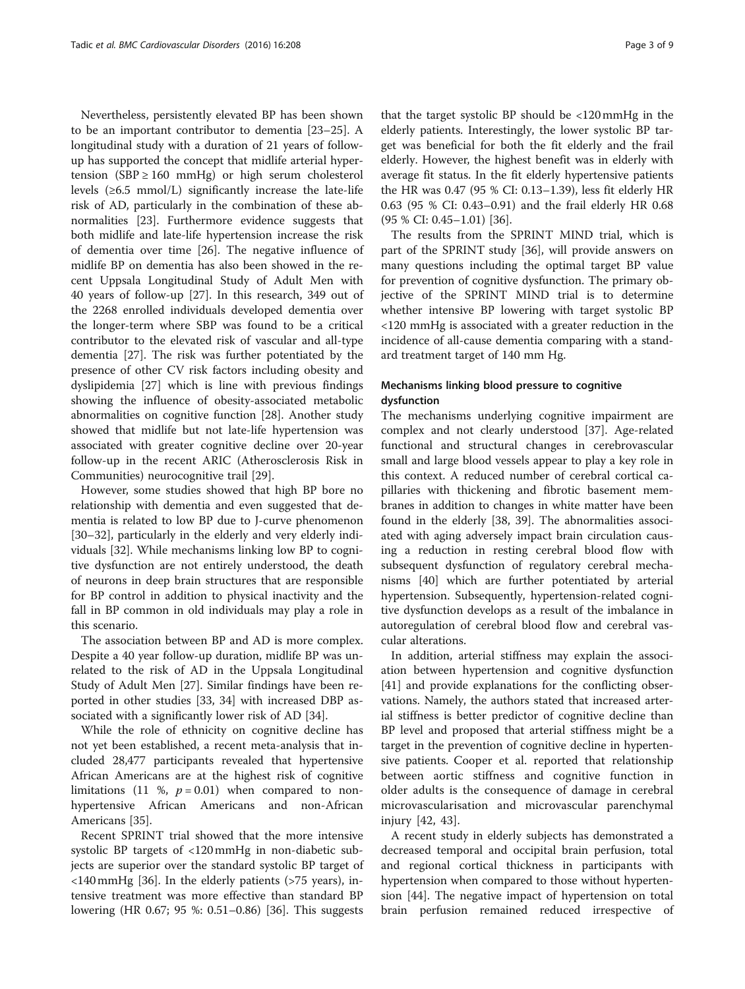Nevertheless, persistently elevated BP has been shown to be an important contributor to dementia [[23](#page-7-0)–[25](#page-7-0)]. A longitudinal study with a duration of 21 years of followup has supported the concept that midlife arterial hypertension (SBP  $\geq$  160 mmHg) or high serum cholesterol levels  $(≥6.5 \text{ mmol/L})$  significantly increase the late-life risk of AD, particularly in the combination of these abnormalities [\[23\]](#page-7-0). Furthermore evidence suggests that both midlife and late-life hypertension increase the risk of dementia over time [[26\]](#page-7-0). The negative influence of midlife BP on dementia has also been showed in the recent Uppsala Longitudinal Study of Adult Men with 40 years of follow-up [\[27](#page-7-0)]. In this research, 349 out of the 2268 enrolled individuals developed dementia over the longer-term where SBP was found to be a critical contributor to the elevated risk of vascular and all-type dementia [[27\]](#page-7-0). The risk was further potentiated by the presence of other CV risk factors including obesity and dyslipidemia [[27\]](#page-7-0) which is line with previous findings showing the influence of obesity-associated metabolic abnormalities on cognitive function [[28\]](#page-7-0). Another study showed that midlife but not late-life hypertension was associated with greater cognitive decline over 20-year follow-up in the recent ARIC (Atherosclerosis Risk in Communities) neurocognitive trail [\[29](#page-7-0)].

However, some studies showed that high BP bore no relationship with dementia and even suggested that dementia is related to low BP due to J-curve phenomenon [[30](#page-7-0)–[32](#page-7-0)], particularly in the elderly and very elderly individuals [\[32\]](#page-7-0). While mechanisms linking low BP to cognitive dysfunction are not entirely understood, the death of neurons in deep brain structures that are responsible for BP control in addition to physical inactivity and the fall in BP common in old individuals may play a role in this scenario.

The association between BP and AD is more complex. Despite a 40 year follow-up duration, midlife BP was unrelated to the risk of AD in the Uppsala Longitudinal Study of Adult Men [[27\]](#page-7-0). Similar findings have been reported in other studies [[33, 34](#page-7-0)] with increased DBP associated with a significantly lower risk of AD [\[34](#page-7-0)].

While the role of ethnicity on cognitive decline has not yet been established, a recent meta-analysis that included 28,477 participants revealed that hypertensive African Americans are at the highest risk of cognitive limitations (11 %,  $p = 0.01$ ) when compared to nonhypertensive African Americans and non-African Americans [[35](#page-7-0)].

Recent SPRINT trial showed that the more intensive systolic BP targets of <120mmHg in non-diabetic subjects are superior over the standard systolic BP target of <140mmHg [\[36](#page-7-0)]. In the elderly patients (>75 years), intensive treatment was more effective than standard BP lowering (HR 0.67; 95 %: 0.51–0.86) [[36\]](#page-7-0). This suggests

that the target systolic BP should be <120mmHg in the elderly patients. Interestingly, the lower systolic BP target was beneficial for both the fit elderly and the frail elderly. However, the highest benefit was in elderly with average fit status. In the fit elderly hypertensive patients the HR was 0.47 (95 % CI: 0.13–1.39), less fit elderly HR 0.63 (95 % CI: 0.43–0.91) and the frail elderly HR 0.68 (95 % CI: 0.45–1.01) [\[36](#page-7-0)].

The results from the SPRINT MIND trial, which is part of the SPRINT study [[36\]](#page-7-0), will provide answers on many questions including the optimal target BP value for prevention of cognitive dysfunction. The primary objective of the SPRINT MIND trial is to determine whether intensive BP lowering with target systolic BP <120 mmHg is associated with a greater reduction in the incidence of all-cause dementia comparing with a standard treatment target of 140 mm Hg.

# Mechanisms linking blood pressure to cognitive dysfunction

The mechanisms underlying cognitive impairment are complex and not clearly understood [[37](#page-7-0)]. Age-related functional and structural changes in cerebrovascular small and large blood vessels appear to play a key role in this context. A reduced number of cerebral cortical capillaries with thickening and fibrotic basement membranes in addition to changes in white matter have been found in the elderly [\[38, 39\]](#page-7-0). The abnormalities associated with aging adversely impact brain circulation causing a reduction in resting cerebral blood flow with subsequent dysfunction of regulatory cerebral mechanisms [[40\]](#page-7-0) which are further potentiated by arterial hypertension. Subsequently, hypertension-related cognitive dysfunction develops as a result of the imbalance in autoregulation of cerebral blood flow and cerebral vascular alterations.

In addition, arterial stiffness may explain the association between hypertension and cognitive dysfunction [[41\]](#page-7-0) and provide explanations for the conflicting observations. Namely, the authors stated that increased arterial stiffness is better predictor of cognitive decline than BP level and proposed that arterial stiffness might be a target in the prevention of cognitive decline in hypertensive patients. Cooper et al. reported that relationship between aortic stiffness and cognitive function in older adults is the consequence of damage in cerebral microvascularisation and microvascular parenchymal injury [\[42](#page-7-0), [43](#page-7-0)].

A recent study in elderly subjects has demonstrated a decreased temporal and occipital brain perfusion, total and regional cortical thickness in participants with hypertension when compared to those without hypertension [[44](#page-7-0)]. The negative impact of hypertension on total brain perfusion remained reduced irrespective of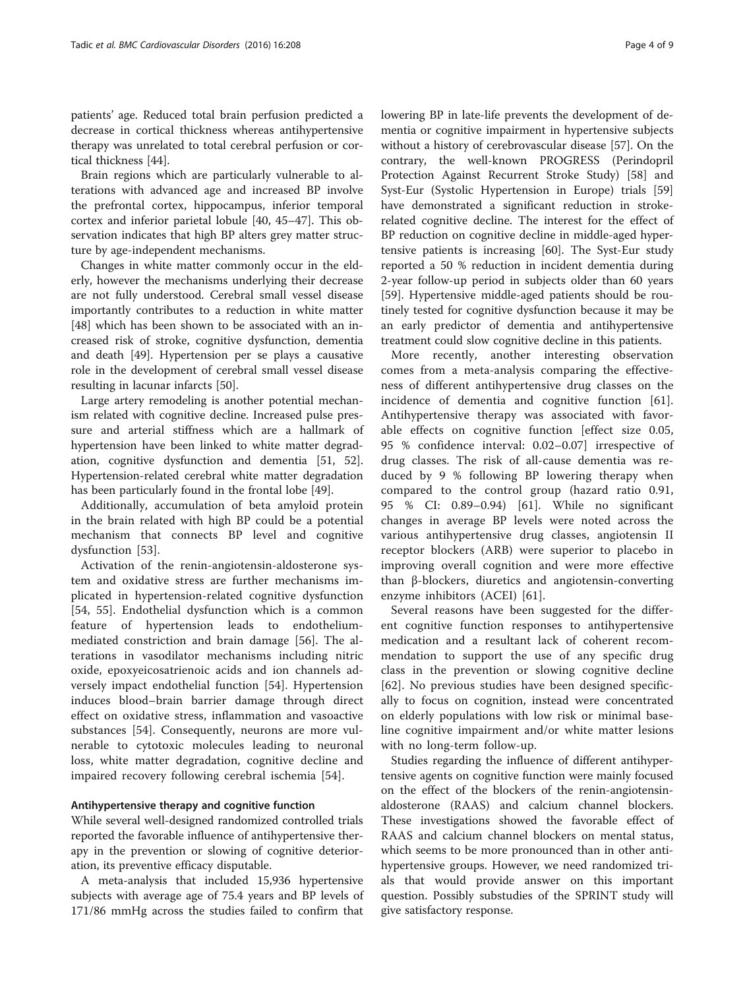patients' age. Reduced total brain perfusion predicted a decrease in cortical thickness whereas antihypertensive therapy was unrelated to total cerebral perfusion or cortical thickness [[44](#page-7-0)].

Brain regions which are particularly vulnerable to alterations with advanced age and increased BP involve the prefrontal cortex, hippocampus, inferior temporal cortex and inferior parietal lobule [[40](#page-7-0), [45](#page-7-0)–[47\]](#page-7-0). This observation indicates that high BP alters grey matter structure by age-independent mechanisms.

Changes in white matter commonly occur in the elderly, however the mechanisms underlying their decrease are not fully understood. Cerebral small vessel disease importantly contributes to a reduction in white matter [[48\]](#page-7-0) which has been shown to be associated with an increased risk of stroke, cognitive dysfunction, dementia and death [\[49](#page-7-0)]. Hypertension per se plays a causative role in the development of cerebral small vessel disease resulting in lacunar infarcts [[50\]](#page-7-0).

Large artery remodeling is another potential mechanism related with cognitive decline. Increased pulse pressure and arterial stiffness which are a hallmark of hypertension have been linked to white matter degradation, cognitive dysfunction and dementia [\[51, 52](#page-7-0)]. Hypertension-related cerebral white matter degradation has been particularly found in the frontal lobe [[49\]](#page-7-0).

Additionally, accumulation of beta amyloid protein in the brain related with high BP could be a potential mechanism that connects BP level and cognitive dysfunction [[53\]](#page-7-0).

Activation of the renin-angiotensin-aldosterone system and oxidative stress are further mechanisms implicated in hypertension-related cognitive dysfunction [[54, 55](#page-7-0)]. Endothelial dysfunction which is a common feature of hypertension leads to endotheliummediated constriction and brain damage [[56](#page-7-0)]. The alterations in vasodilator mechanisms including nitric oxide, epoxyeicosatrienoic acids and ion channels adversely impact endothelial function [[54\]](#page-7-0). Hypertension induces blood–brain barrier damage through direct effect on oxidative stress, inflammation and vasoactive substances [[54\]](#page-7-0). Consequently, neurons are more vulnerable to cytotoxic molecules leading to neuronal loss, white matter degradation, cognitive decline and impaired recovery following cerebral ischemia [[54](#page-7-0)].

### Antihypertensive therapy and cognitive function

While several well-designed randomized controlled trials reported the favorable influence of antihypertensive therapy in the prevention or slowing of cognitive deterioration, its preventive efficacy disputable.

A meta-analysis that included 15,936 hypertensive subjects with average age of 75.4 years and BP levels of 171/86 mmHg across the studies failed to confirm that lowering BP in late-life prevents the development of dementia or cognitive impairment in hypertensive subjects without a history of cerebrovascular disease [\[57\]](#page-7-0). On the contrary, the well-known PROGRESS (Perindopril Protection Against Recurrent Stroke Study) [[58](#page-7-0)] and Syst-Eur (Systolic Hypertension in Europe) trials [[59](#page-7-0)] have demonstrated a significant reduction in strokerelated cognitive decline. The interest for the effect of BP reduction on cognitive decline in middle-aged hypertensive patients is increasing [\[60\]](#page-7-0). The Syst-Eur study reported a 50 % reduction in incident dementia during 2-year follow-up period in subjects older than 60 years [[59\]](#page-7-0). Hypertensive middle-aged patients should be routinely tested for cognitive dysfunction because it may be an early predictor of dementia and antihypertensive treatment could slow cognitive decline in this patients.

More recently, another interesting observation comes from a meta-analysis comparing the effectiveness of different antihypertensive drug classes on the incidence of dementia and cognitive function [[61](#page-7-0)]. Antihypertensive therapy was associated with favorable effects on cognitive function [effect size 0.05, 95 % confidence interval: 0.02–0.07] irrespective of drug classes. The risk of all-cause dementia was reduced by 9 % following BP lowering therapy when compared to the control group (hazard ratio 0.91, 95 % CI: 0.89–0.94) [\[61](#page-7-0)]. While no significant changes in average BP levels were noted across the various antihypertensive drug classes, angiotensin II receptor blockers (ARB) were superior to placebo in improving overall cognition and were more effective than β-blockers, diuretics and angiotensin-converting enzyme inhibitors (ACEI) [[61\]](#page-7-0).

Several reasons have been suggested for the different cognitive function responses to antihypertensive medication and a resultant lack of coherent recommendation to support the use of any specific drug class in the prevention or slowing cognitive decline [[62\]](#page-7-0). No previous studies have been designed specifically to focus on cognition, instead were concentrated on elderly populations with low risk or minimal baseline cognitive impairment and/or white matter lesions with no long-term follow-up.

Studies regarding the influence of different antihypertensive agents on cognitive function were mainly focused on the effect of the blockers of the renin-angiotensinaldosterone (RAAS) and calcium channel blockers. These investigations showed the favorable effect of RAAS and calcium channel blockers on mental status, which seems to be more pronounced than in other antihypertensive groups. However, we need randomized trials that would provide answer on this important question. Possibly substudies of the SPRINT study will give satisfactory response.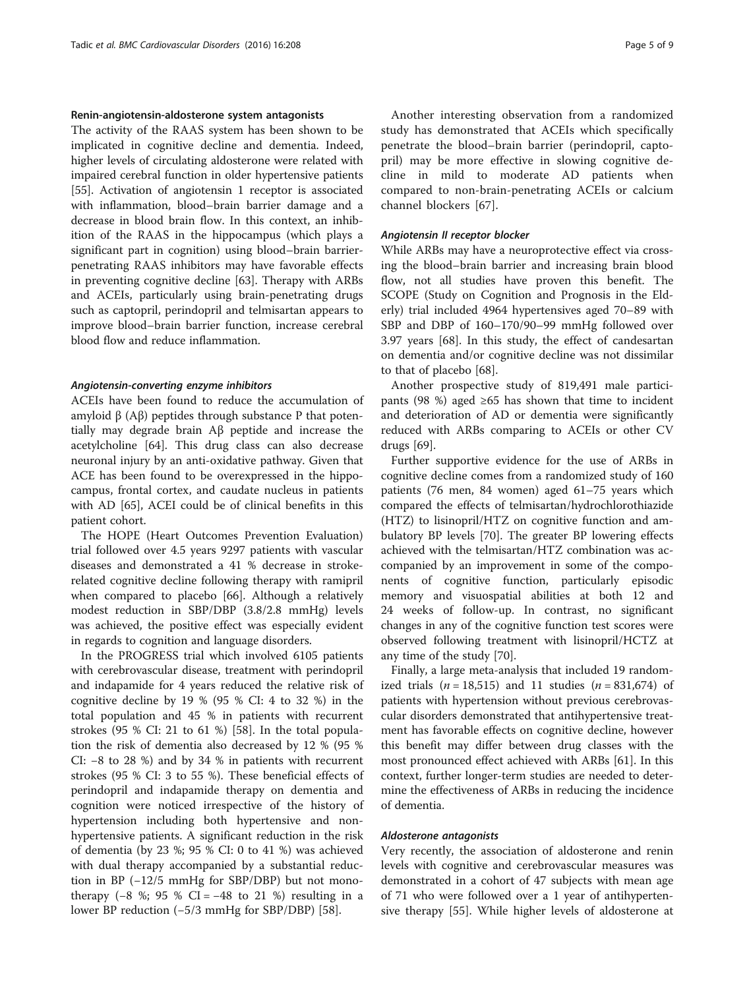#### Renin-angiotensin-aldosterone system antagonists

The activity of the RAAS system has been shown to be implicated in cognitive decline and dementia. Indeed, higher levels of circulating aldosterone were related with impaired cerebral function in older hypertensive patients [[55\]](#page-7-0). Activation of angiotensin 1 receptor is associated with inflammation, blood–brain barrier damage and a decrease in blood brain flow. In this context, an inhibition of the RAAS in the hippocampus (which plays a significant part in cognition) using blood–brain barrierpenetrating RAAS inhibitors may have favorable effects in preventing cognitive decline [[63\]](#page-7-0). Therapy with ARBs and ACEIs, particularly using brain-penetrating drugs such as captopril, perindopril and telmisartan appears to improve blood–brain barrier function, increase cerebral blood flow and reduce inflammation.

#### Angiotensin-converting enzyme inhibitors

ACEIs have been found to reduce the accumulation of amyloid  $β$  (A $β$ ) peptides through substance P that potentially may degrade brain Aβ peptide and increase the acetylcholine [[64\]](#page-7-0). This drug class can also decrease neuronal injury by an anti-oxidative pathway. Given that ACE has been found to be overexpressed in the hippocampus, frontal cortex, and caudate nucleus in patients with AD [\[65](#page-7-0)], ACEI could be of clinical benefits in this patient cohort.

The HOPE (Heart Outcomes Prevention Evaluation) trial followed over 4.5 years 9297 patients with vascular diseases and demonstrated a 41 % decrease in strokerelated cognitive decline following therapy with ramipril when compared to placebo [\[66](#page-7-0)]. Although a relatively modest reduction in SBP/DBP (3.8/2.8 mmHg) levels was achieved, the positive effect was especially evident in regards to cognition and language disorders.

In the PROGRESS trial which involved 6105 patients with cerebrovascular disease, treatment with perindopril and indapamide for 4 years reduced the relative risk of cognitive decline by 19 % (95 % CI: 4 to 32 %) in the total population and 45 % in patients with recurrent strokes (95 % CI: 21 to 61 %) [[58\]](#page-7-0). In the total population the risk of dementia also decreased by 12 % (95 % CI: −8 to 28 %) and by 34 % in patients with recurrent strokes (95 % CI: 3 to 55 %). These beneficial effects of perindopril and indapamide therapy on dementia and cognition were noticed irrespective of the history of hypertension including both hypertensive and nonhypertensive patients. A significant reduction in the risk of dementia (by 23 %; 95 % CI: 0 to 41 %) was achieved with dual therapy accompanied by a substantial reduction in BP (−12/5 mmHg for SBP/DBP) but not monotherapy  $(-8 \, \frac{\pi}{6})$ ; 95 % CI = -48 to 21 %) resulting in a lower BP reduction (−5/3 mmHg for SBP/DBP) [[58\]](#page-7-0).

Another interesting observation from a randomized study has demonstrated that ACEIs which specifically penetrate the blood–brain barrier (perindopril, captopril) may be more effective in slowing cognitive decline in mild to moderate AD patients when compared to non-brain-penetrating ACEIs or calcium channel blockers [[67](#page-8-0)].

#### Angiotensin II receptor blocker

While ARBs may have a neuroprotective effect via crossing the blood–brain barrier and increasing brain blood flow, not all studies have proven this benefit. The SCOPE (Study on Cognition and Prognosis in the Elderly) trial included 4964 hypertensives aged 70–89 with SBP and DBP of 160–170/90–99 mmHg followed over 3.97 years [\[68\]](#page-8-0). In this study, the effect of candesartan on dementia and/or cognitive decline was not dissimilar to that of placebo [\[68](#page-8-0)].

Another prospective study of 819,491 male participants (98 %) aged ≥65 has shown that time to incident and deterioration of AD or dementia were significantly reduced with ARBs comparing to ACEIs or other CV drugs [[69](#page-8-0)].

Further supportive evidence for the use of ARBs in cognitive decline comes from a randomized study of 160 patients (76 men, 84 women) aged 61–75 years which compared the effects of telmisartan/hydrochlorothiazide (HTZ) to lisinopril/HTZ on cognitive function and ambulatory BP levels [[70\]](#page-8-0). The greater BP lowering effects achieved with the telmisartan/HTZ combination was accompanied by an improvement in some of the components of cognitive function, particularly episodic memory and visuospatial abilities at both 12 and 24 weeks of follow-up. In contrast, no significant changes in any of the cognitive function test scores were observed following treatment with lisinopril/HCTZ at any time of the study [[70\]](#page-8-0).

Finally, a large meta-analysis that included 19 randomized trials  $(n = 18,515)$  and 11 studies  $(n = 831,674)$  of patients with hypertension without previous cerebrovascular disorders demonstrated that antihypertensive treatment has favorable effects on cognitive decline, however this benefit may differ between drug classes with the most pronounced effect achieved with ARBs [[61\]](#page-7-0). In this context, further longer-term studies are needed to determine the effectiveness of ARBs in reducing the incidence of dementia.

#### Aldosterone antagonists

Very recently, the association of aldosterone and renin levels with cognitive and cerebrovascular measures was demonstrated in a cohort of 47 subjects with mean age of 71 who were followed over a 1 year of antihypertensive therapy [\[55\]](#page-7-0). While higher levels of aldosterone at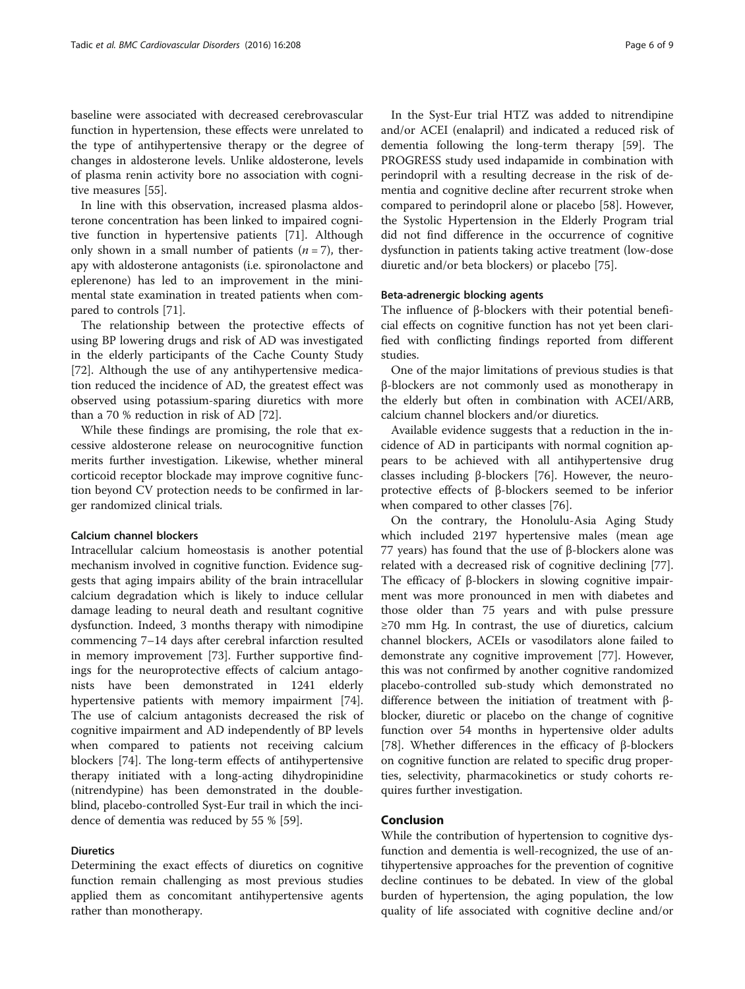baseline were associated with decreased cerebrovascular function in hypertension, these effects were unrelated to the type of antihypertensive therapy or the degree of changes in aldosterone levels. Unlike aldosterone, levels of plasma renin activity bore no association with cognitive measures [\[55](#page-7-0)].

In line with this observation, increased plasma aldosterone concentration has been linked to impaired cognitive function in hypertensive patients [[71\]](#page-8-0). Although only shown in a small number of patients  $(n = 7)$ , therapy with aldosterone antagonists (i.e. spironolactone and eplerenone) has led to an improvement in the minimental state examination in treated patients when compared to controls [\[71\]](#page-8-0).

The relationship between the protective effects of using BP lowering drugs and risk of AD was investigated in the elderly participants of the Cache County Study [[72\]](#page-8-0). Although the use of any antihypertensive medication reduced the incidence of AD, the greatest effect was observed using potassium-sparing diuretics with more than a 70 % reduction in risk of AD [[72\]](#page-8-0).

While these findings are promising, the role that excessive aldosterone release on neurocognitive function merits further investigation. Likewise, whether mineral corticoid receptor blockade may improve cognitive function beyond CV protection needs to be confirmed in larger randomized clinical trials.

#### Calcium channel blockers

Intracellular calcium homeostasis is another potential mechanism involved in cognitive function. Evidence suggests that aging impairs ability of the brain intracellular calcium degradation which is likely to induce cellular damage leading to neural death and resultant cognitive dysfunction. Indeed, 3 months therapy with nimodipine commencing 7–14 days after cerebral infarction resulted in memory improvement [\[73](#page-8-0)]. Further supportive findings for the neuroprotective effects of calcium antagonists have been demonstrated in 1241 elderly hypertensive patients with memory impairment [\[74](#page-8-0)]. The use of calcium antagonists decreased the risk of cognitive impairment and AD independently of BP levels when compared to patients not receiving calcium blockers [[74\]](#page-8-0). The long-term effects of antihypertensive therapy initiated with a long-acting dihydropinidine (nitrendypine) has been demonstrated in the doubleblind, placebo-controlled Syst-Eur trail in which the incidence of dementia was reduced by 55 % [[59\]](#page-7-0).

## **Diuretics**

Determining the exact effects of diuretics on cognitive function remain challenging as most previous studies applied them as concomitant antihypertensive agents rather than monotherapy.

In the Syst-Eur trial HTZ was added to nitrendipine and/or ACEI (enalapril) and indicated a reduced risk of dementia following the long-term therapy [[59](#page-7-0)]. The PROGRESS study used indapamide in combination with perindopril with a resulting decrease in the risk of dementia and cognitive decline after recurrent stroke when compared to perindopril alone or placebo [\[58](#page-7-0)]. However, the Systolic Hypertension in the Elderly Program trial did not find difference in the occurrence of cognitive dysfunction in patients taking active treatment (low-dose diuretic and/or beta blockers) or placebo [\[75](#page-8-0)].

#### Beta-adrenergic blocking agents

The influence of β-blockers with their potential beneficial effects on cognitive function has not yet been clarified with conflicting findings reported from different studies.

One of the major limitations of previous studies is that β-blockers are not commonly used as monotherapy in the elderly but often in combination with ACEI/ARB, calcium channel blockers and/or diuretics.

Available evidence suggests that a reduction in the incidence of AD in participants with normal cognition appears to be achieved with all antihypertensive drug classes including β-blockers [\[76](#page-8-0)]. However, the neuroprotective effects of β-blockers seemed to be inferior when compared to other classes [\[76](#page-8-0)].

On the contrary, the Honolulu-Asia Aging Study which included 2197 hypertensive males (mean age 77 years) has found that the use of β-blockers alone was related with a decreased risk of cognitive declining [\[77](#page-8-0)]. The efficacy of β-blockers in slowing cognitive impairment was more pronounced in men with diabetes and those older than 75 years and with pulse pressure ≥70 mm Hg. In contrast, the use of diuretics, calcium channel blockers, ACEIs or vasodilators alone failed to demonstrate any cognitive improvement [\[77](#page-8-0)]. However, this was not confirmed by another cognitive randomized placebo-controlled sub-study which demonstrated no difference between the initiation of treatment with βblocker, diuretic or placebo on the change of cognitive function over 54 months in hypertensive older adults [[78\]](#page-8-0). Whether differences in the efficacy of β-blockers on cognitive function are related to specific drug properties, selectivity, pharmacokinetics or study cohorts requires further investigation.

# Conclusion

While the contribution of hypertension to cognitive dysfunction and dementia is well-recognized, the use of antihypertensive approaches for the prevention of cognitive decline continues to be debated. In view of the global burden of hypertension, the aging population, the low quality of life associated with cognitive decline and/or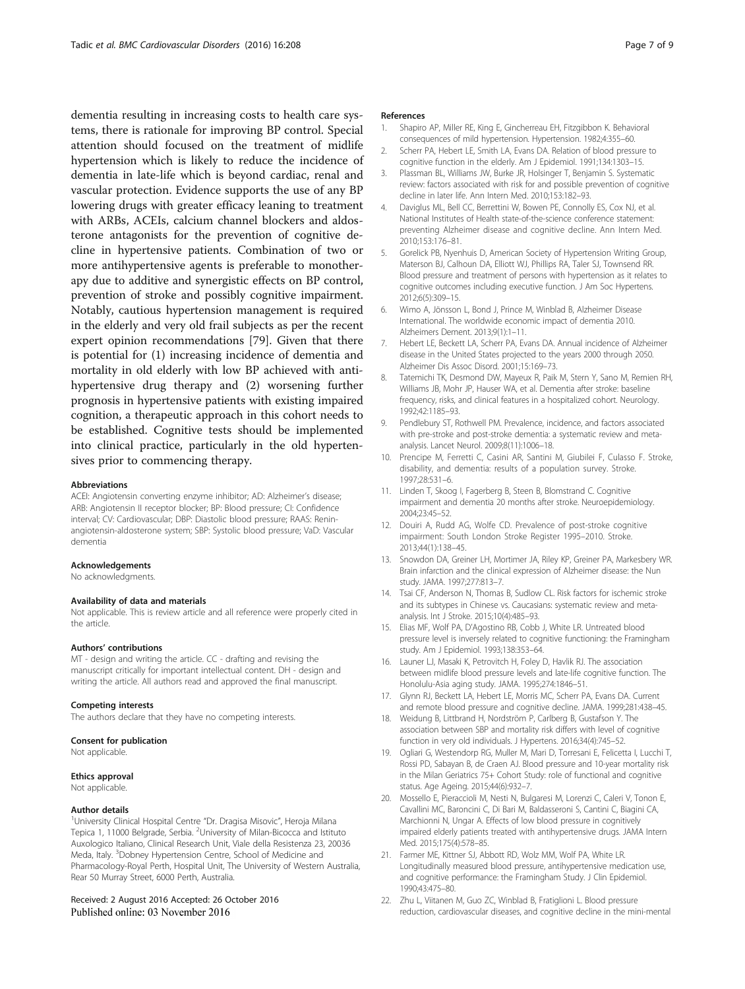<span id="page-6-0"></span>dementia resulting in increasing costs to health care systems, there is rationale for improving BP control. Special attention should focused on the treatment of midlife hypertension which is likely to reduce the incidence of dementia in late-life which is beyond cardiac, renal and vascular protection. Evidence supports the use of any BP lowering drugs with greater efficacy leaning to treatment with ARBs, ACEIs, calcium channel blockers and aldosterone antagonists for the prevention of cognitive decline in hypertensive patients. Combination of two or more antihypertensive agents is preferable to monotherapy due to additive and synergistic effects on BP control, prevention of stroke and possibly cognitive impairment. Notably, cautious hypertension management is required in the elderly and very old frail subjects as per the recent expert opinion recommendations [\[79](#page-8-0)]. Given that there is potential for (1) increasing incidence of dementia and mortality in old elderly with low BP achieved with antihypertensive drug therapy and (2) worsening further prognosis in hypertensive patients with existing impaired cognition, a therapeutic approach in this cohort needs to be established. Cognitive tests should be implemented into clinical practice, particularly in the old hypertensives prior to commencing therapy.

#### Abbreviations

ACEI: Angiotensin converting enzyme inhibitor; AD: Alzheimer's disease; ARB: Angiotensin II receptor blocker; BP: Blood pressure; CI: Confidence interval; CV: Cardiovascular; DBP: Diastolic blood pressure; RAAS: Reninangiotensin-aldosterone system; SBP: Systolic blood pressure; VaD: Vascular dementia

#### Acknowledgements

No acknowledgments.

#### Availability of data and materials

Not applicable. This is review article and all reference were properly cited in the article.

#### Authors' contributions

MT - design and writing the article. CC - drafting and revising the manuscript critically for important intellectual content. DH - design and writing the article. All authors read and approved the final manuscript.

#### Competing interests

The authors declare that they have no competing interests.

#### Consent for publication

Not applicable.

#### Ethics approval

Not applicable.

#### Author details

<sup>1</sup>University Clinical Hospital Centre "Dr. Dragisa Misovic", Heroja Milana Tepica 1, 11000 Belgrade, Serbia. <sup>2</sup>University of Milan-Bicocca and Istituto Auxologico Italiano, Clinical Research Unit, Viale della Resistenza 23, 20036 Meda, Italy. <sup>3</sup>Dobney Hypertension Centre, School of Medicine and Pharmacology-Royal Perth, Hospital Unit, The University of Western Australia, Rear 50 Murray Street, 6000 Perth, Australia.

#### Received: 2 August 2016 Accepted: 26 October 2016 Published online: 03 November 2016

#### References

- 1. Shapiro AP, Miller RE, King E, Gincherreau EH, Fitzgibbon K. Behavioral consequences of mild hypertension. Hypertension. 1982;4:355–60.
- 2. Scherr PA, Hebert LE, Smith LA, Evans DA. Relation of blood pressure to cognitive function in the elderly. Am J Epidemiol. 1991;134:1303–15.
- 3. Plassman BL, Williams JW, Burke JR, Holsinger T, Benjamin S. Systematic review: factors associated with risk for and possible prevention of cognitive decline in later life. Ann Intern Med. 2010;153:182–93.
- 4. Daviglus ML, Bell CC, Berrettini W, Bowen PE, Connolly ES, Cox NJ, et al. National Institutes of Health state-of-the-science conference statement: preventing Alzheimer disease and cognitive decline. Ann Intern Med. 2010;153:176–81.
- 5. Gorelick PB, Nyenhuis D, American Society of Hypertension Writing Group, Materson BJ, Calhoun DA, Elliott WJ, Phillips RA, Taler SJ, Townsend RR. Blood pressure and treatment of persons with hypertension as it relates to cognitive outcomes including executive function. J Am Soc Hypertens. 2012;6(5):309–15.
- 6. Wimo A, Jönsson L, Bond J, Prince M, Winblad B, Alzheimer Disease International. The worldwide economic impact of dementia 2010. Alzheimers Dement. 2013;9(1):1–11.
- 7. Hebert LE, Beckett LA, Scherr PA, Evans DA. Annual incidence of Alzheimer disease in the United States projected to the years 2000 through 2050. Alzheimer Dis Assoc Disord. 2001;15:169–73.
- 8. Tatemichi TK, Desmond DW, Mayeux R, Paik M, Stern Y, Sano M, Remien RH, Williams JB, Mohr JP, Hauser WA, et al. Dementia after stroke: baseline frequency, risks, and clinical features in a hospitalized cohort. Neurology. 1992;42:1185–93.
- 9. Pendlebury ST, Rothwell PM. Prevalence, incidence, and factors associated with pre-stroke and post-stroke dementia: a systematic review and metaanalysis. Lancet Neurol. 2009;8(11):1006–18.
- 10. Prencipe M, Ferretti C, Casini AR, Santini M, Giubilei F, Culasso F. Stroke, disability, and dementia: results of a population survey. Stroke. 1997;28:531–6.
- 11. Linden T, Skoog I, Fagerberg B, Steen B, Blomstrand C. Cognitive impairment and dementia 20 months after stroke. Neuroepidemiology. 2004;23:45–52.
- 12. Douiri A, Rudd AG, Wolfe CD. Prevalence of post-stroke cognitive impairment: South London Stroke Register 1995–2010. Stroke. 2013;44(1):138–45.
- 13. Snowdon DA, Greiner LH, Mortimer JA, Riley KP, Greiner PA, Markesbery WR. Brain infarction and the clinical expression of Alzheimer disease: the Nun study. JAMA. 1997;277:813–7.
- 14. Tsai CF, Anderson N, Thomas B, Sudlow CL. Risk factors for ischemic stroke and its subtypes in Chinese vs. Caucasians: systematic review and metaanalysis. Int J Stroke. 2015;10(4):485–93.
- 15. Elias MF, Wolf PA, D'Agostino RB, Cobb J, White LR. Untreated blood pressure level is inversely related to cognitive functioning: the Framingham study. Am J Epidemiol. 1993;138:353–64.
- 16. Launer LJ, Masaki K, Petrovitch H, Foley D, Havlik RJ. The association between midlife blood pressure levels and late-life cognitive function. The Honolulu-Asia aging study. JAMA. 1995;274:1846–51.
- 17. Glynn RJ, Beckett LA, Hebert LE, Morris MC, Scherr PA, Evans DA. Current and remote blood pressure and cognitive decline. JAMA. 1999;281:438–45.
- 18. Weidung B, Littbrand H, Nordström P, Carlberg B, Gustafson Y. The association between SBP and mortality risk differs with level of cognitive function in very old individuals. J Hypertens. 2016;34(4):745–52.
- 19. Ogliari G, Westendorp RG, Muller M, Mari D, Torresani E, Felicetta I, Lucchi T, Rossi PD, Sabayan B, de Craen AJ. Blood pressure and 10-year mortality risk in the Milan Geriatrics 75+ Cohort Study: role of functional and cognitive status. Age Ageing. 2015;44(6):932–7.
- 20. Mossello E, Pieraccioli M, Nesti N, Bulgaresi M, Lorenzi C, Caleri V, Tonon E, Cavallini MC, Baroncini C, Di Bari M, Baldasseroni S, Cantini C, Biagini CA, Marchionni N, Ungar A. Effects of low blood pressure in cognitively impaired elderly patients treated with antihypertensive drugs. JAMA Intern Med. 2015;175(4):578–85.
- 21. Farmer ME, Kittner SJ, Abbott RD, Wolz MM, Wolf PA, White LR. Longitudinally measured blood pressure, antihypertensive medication use, and cognitive performance: the Framingham Study. J Clin Epidemiol. 1990;43:475–80.
- 22. Zhu L, Viitanen M, Guo ZC, Winblad B, Fratiglioni L. Blood pressure reduction, cardiovascular diseases, and cognitive decline in the mini-mental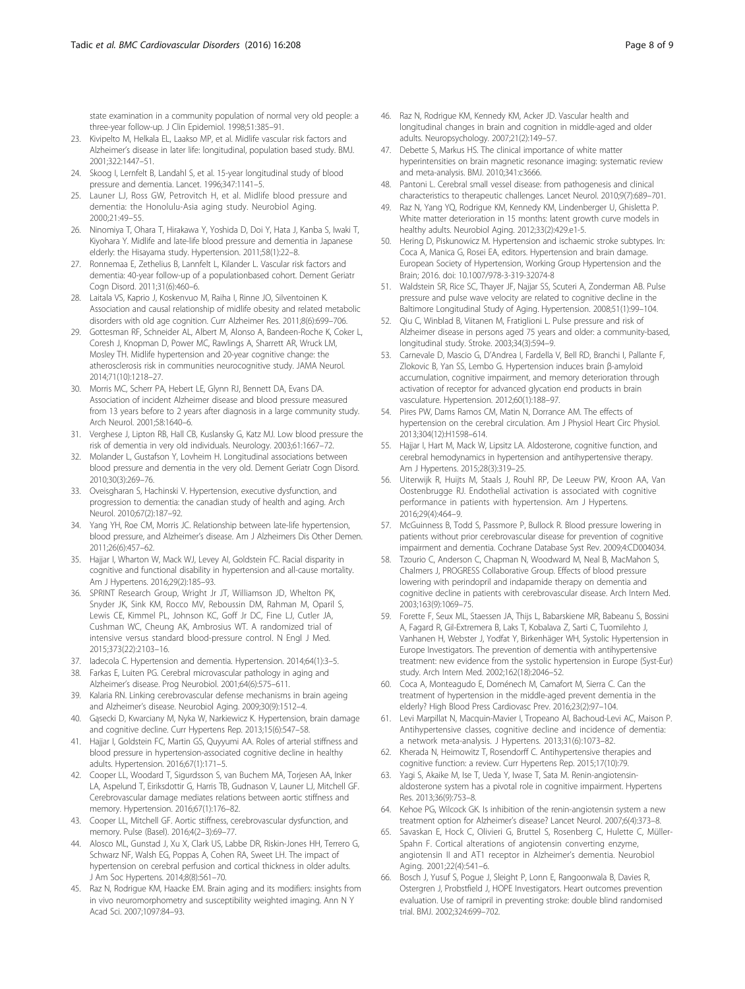<span id="page-7-0"></span>state examination in a community population of normal very old people: a three-year follow-up. J Clin Epidemiol. 1998;51:385–91.

- 23. Kivipelto M, Helkala EL, Laakso MP, et al. Midlife vascular risk factors and Alzheimer's disease in later life: longitudinal, population based study. BMJ. 2001;322:1447–51.
- 24. Skoog I, Lernfelt B, Landahl S, et al. 15-year longitudinal study of blood pressure and dementia. Lancet. 1996;347:1141–5.
- 25. Launer LJ, Ross GW, Petrovitch H, et al. Midlife blood pressure and dementia: the Honolulu-Asia aging study. Neurobiol Aging. 2000;21:49–55.
- 26. Ninomiya T, Ohara T, Hirakawa Y, Yoshida D, Doi Y, Hata J, Kanba S, Iwaki T, Kiyohara Y. Midlife and late-life blood pressure and dementia in Japanese elderly: the Hisayama study. Hypertension. 2011;58(1):22–8.
- 27. Ronnemaa E, Zethelius B, Lannfelt L, Kilander L. Vascular risk factors and dementia: 40-year follow-up of a populationbased cohort. Dement Geriatr Cogn Disord. 2011;31(6):460–6.
- 28. Laitala VS, Kaprio J, Koskenvuo M, Raiha I, Rinne JO, Silventoinen K. Association and causal relationship of midlife obesity and related metabolic disorders with old age cognition. Curr Alzheimer Res. 2011;8(6):699–706.
- 29. Gottesman RF, Schneider AL, Albert M, Alonso A, Bandeen-Roche K, Coker L, Coresh J, Knopman D, Power MC, Rawlings A, Sharrett AR, Wruck LM, Mosley TH. Midlife hypertension and 20-year cognitive change: the atherosclerosis risk in communities neurocognitive study. JAMA Neurol. 2014;71(10):1218–27.
- 30. Morris MC, Scherr PA, Hebert LE, Glynn RJ, Bennett DA, Evans DA. Association of incident Alzheimer disease and blood pressure measured from 13 years before to 2 years after diagnosis in a large community study. Arch Neurol. 2001;58:1640–6.
- 31. Verghese J, Lipton RB, Hall CB, Kuslansky G, Katz MJ. Low blood pressure the risk of dementia in very old individuals. Neurology. 2003;61:1667–72.
- 32. Molander L, Gustafson Y, Lovheim H. Longitudinal associations between blood pressure and dementia in the very old. Dement Geriatr Cogn Disord. 2010;30(3):269–76.
- 33. Oveisgharan S, Hachinski V. Hypertension, executive dysfunction, and progression to dementia: the canadian study of health and aging. Arch Neurol. 2010;67(2):187–92.
- 34. Yang YH, Roe CM, Morris JC. Relationship between late-life hypertension, blood pressure, and Alzheimer's disease. Am J Alzheimers Dis Other Demen. 2011;26(6):457–62.
- 35. Hajjar I, Wharton W, Mack WJ, Levey AI, Goldstein FC. Racial disparity in cognitive and functional disability in hypertension and all-cause mortality. Am J Hypertens. 2016;29(2):185–93.
- 36. SPRINT Research Group, Wright Jr JT, Williamson JD, Whelton PK, Snyder JK, Sink KM, Rocco MV, Reboussin DM, Rahman M, Oparil S, Lewis CE, Kimmel PL, Johnson KC, Goff Jr DC, Fine LJ, Cutler JA, Cushman WC, Cheung AK, Ambrosius WT. A randomized trial of intensive versus standard blood-pressure control. N Engl J Med. 2015;373(22):2103–16.
- 37. Iadecola C. Hypertension and dementia. Hypertension. 2014;64(1):3–5.
- 38. Farkas E, Luiten PG. Cerebral microvascular pathology in aging and
- Alzheimer's disease. Prog Neurobiol. 2001;64(6):575–611. 39. Kalaria RN. Linking cerebrovascular defense mechanisms in brain ageing and Alzheimer's disease. Neurobiol Aging. 2009;30(9):1512–4.
- 40. Gąsecki D, Kwarciany M, Nyka W, Narkiewicz K. Hypertension, brain damage and cognitive decline. Curr Hypertens Rep. 2013;15(6):547–58.
- 41. Hajjar I, Goldstein FC, Martin GS, Quyyumi AA. Roles of arterial stiffness and blood pressure in hypertension-associated cognitive decline in healthy adults. Hypertension. 2016;67(1):171–5.
- 42. Cooper LL, Woodard T, Sigurdsson S, van Buchem MA, Torjesen AA, Inker LA, Aspelund T, Eiriksdottir G, Harris TB, Gudnason V, Launer LJ, Mitchell GF. Cerebrovascular damage mediates relations between aortic stiffness and memory. Hypertension. 2016;67(1):176–82.
- 43. Cooper LL, Mitchell GF. Aortic stiffness, cerebrovascular dysfunction, and memory. Pulse (Basel). 2016;4(2–3):69–77.
- 44. Alosco ML, Gunstad J, Xu X, Clark US, Labbe DR, Riskin-Jones HH, Terrero G, Schwarz NF, Walsh EG, Poppas A, Cohen RA, Sweet LH. The impact of hypertension on cerebral perfusion and cortical thickness in older adults. J Am Soc Hypertens. 2014;8(8):561–70.
- 45. Raz N, Rodrigue KM, Haacke EM. Brain aging and its modifiers: insights from in vivo neuromorphometry and susceptibility weighted imaging. Ann N Y Acad Sci. 2007;1097:84–93.
- 46. Raz N, Rodrigue KM, Kennedy KM, Acker JD. Vascular health and longitudinal changes in brain and cognition in middle-aged and older adults. Neuropsychology. 2007;21(2):149–57.
- 47. Debette S, Markus HS. The clinical importance of white matter hyperintensities on brain magnetic resonance imaging: systematic review and meta-analysis. BMJ. 2010;341:c3666.
- 48. Pantoni L. Cerebral small vessel disease: from pathogenesis and clinical characteristics to therapeutic challenges. Lancet Neurol. 2010;9(7):689–701.
- 49. Raz N, Yang YQ, Rodrigue KM, Kennedy KM, Lindenberger U, Ghisletta P. White matter deterioration in 15 months: latent growth curve models in healthy adults. Neurobiol Aging. 2012;33(2):429.e1-5.
- 50. Hering D, Piskunowicz M. Hypertension and ischaemic stroke subtypes. In: Coca A, Manica G, Rosei EA, editors. Hypertension and brain damage. European Society of Hypertension, Working Group Hypertension and the Brain; 2016. doi: [10.1007/978-3-319-32074-8](http://dx.doi.org/10.1007/978-3-319-32074-8)
- 51. Waldstein SR, Rice SC, Thayer JF, Najjar SS, Scuteri A, Zonderman AB. Pulse pressure and pulse wave velocity are related to cognitive decline in the Baltimore Longitudinal Study of Aging. Hypertension. 2008;51(1):99–104.
- 52. Qiu C, Winblad B, Viitanen M, Fratiglioni L. Pulse pressure and risk of Alzheimer disease in persons aged 75 years and older: a community-based, longitudinal study. Stroke. 2003;34(3):594–9.
- 53. Carnevale D, Mascio G, D'Andrea I, Fardella V, Bell RD, Branchi I, Pallante F, Zlokovic B, Yan SS, Lembo G. Hypertension induces brain β-amyloid accumulation, cognitive impairment, and memory deterioration through activation of receptor for advanced glycation end products in brain vasculature. Hypertension. 2012;60(1):188–97.
- 54. Pires PW, Dams Ramos CM, Matin N, Dorrance AM. The effects of hypertension on the cerebral circulation. Am J Physiol Heart Circ Physiol. 2013;304(12):H1598–614.
- 55. Hajjar I, Hart M, Mack W, Lipsitz LA. Aldosterone, cognitive function, and cerebral hemodynamics in hypertension and antihypertensive therapy. Am J Hypertens. 2015;28(3):319–25.
- 56. Uiterwijk R, Huijts M, Staals J, Rouhl RP, De Leeuw PW, Kroon AA, Van Oostenbrugge RJ. Endothelial activation is associated with cognitive performance in patients with hypertension. Am J Hypertens. 2016;29(4):464–9.
- 57. McGuinness B, Todd S, Passmore P, Bullock R. Blood pressure lowering in patients without prior cerebrovascular disease for prevention of cognitive impairment and dementia. Cochrane Database Syst Rev. 2009;4:CD004034.
- 58. Tzourio C, Anderson C, Chapman N, Woodward M, Neal B, MacMahon S, Chalmers J, PROGRESS Collaborative Group. Effects of blood pressure lowering with perindopril and indapamide therapy on dementia and cognitive decline in patients with cerebrovascular disease. Arch Intern Med. 2003;163(9):1069–75.
- 59. Forette F, Seux ML, Staessen JA, Thijs L, Babarskiene MR, Babeanu S, Bossini A, Fagard R, Gil-Extremera B, Laks T, Kobalava Z, Sarti C, Tuomilehto J, Vanhanen H, Webster J, Yodfat Y, Birkenhäger WH, Systolic Hypertension in Europe Investigators. The prevention of dementia with antihypertensive treatment: new evidence from the systolic hypertension in Europe (Syst-Eur) study. Arch Intern Med. 2002;162(18):2046–52.
- 60. Coca A, Monteagudo E, Doménech M, Camafort M, Sierra C. Can the treatment of hypertension in the middle-aged prevent dementia in the elderly? High Blood Press Cardiovasc Prev. 2016;23(2):97–104.
- 61. Levi Marpillat N, Macquin-Mavier I, Tropeano AI, Bachoud-Levi AC, Maison P. Antihypertensive classes, cognitive decline and incidence of dementia: a network meta-analysis. J Hypertens. 2013;31(6):1073–82.
- 62. Kherada N, Heimowitz T, Rosendorff C. Antihypertensive therapies and cognitive function: a review. Curr Hypertens Rep. 2015;17(10):79.
- 63. Yagi S, Akaike M, Ise T, Ueda Y, Iwase T, Sata M. Renin-angiotensinaldosterone system has a pivotal role in cognitive impairment. Hypertens Res. 2013;36(9):753–8.
- 64. Kehoe PG, Wilcock GK. Is inhibition of the renin-angiotensin system a new treatment option for Alzheimer's disease? Lancet Neurol. 2007;6(4):373–8.
- 65. Savaskan E, Hock C, Olivieri G, Bruttel S, Rosenberg C, Hulette C, Müller-Spahn F. Cortical alterations of angiotensin converting enzyme, angiotensin II and AT1 receptor in Alzheimer's dementia. Neurobiol Aging. 2001;22(4):541–6.
- 66. Bosch J, Yusuf S, Pogue J, Sleight P, Lonn E, Rangoonwala B, Davies R, Ostergren J, Probstfield J, HOPE Investigators. Heart outcomes prevention evaluation. Use of ramipril in preventing stroke: double blind randomised trial. BMJ. 2002;324:699–702.